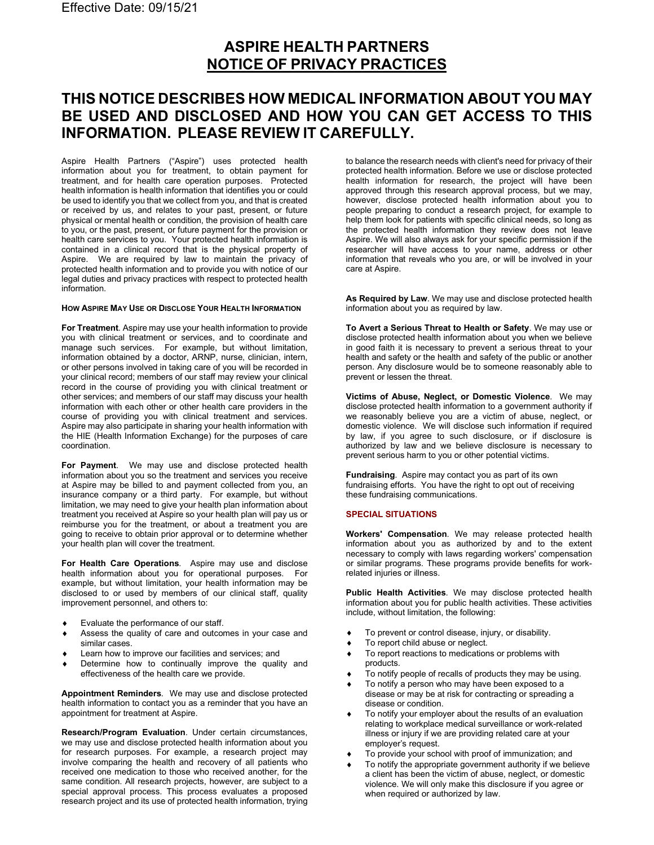# **ASPIRE HEALTH PARTNERS NOTICE OF PRIVACY PRACTICES**

# **THIS NOTICE DESCRIBES HOW MEDICAL INFORMATION ABOUT YOU MAY BE USED AND DISCLOSED AND HOW YOU CAN GET ACCESS TO THIS INFORMATION. PLEASE REVIEW IT CAREFULLY.**

Aspire Health Partners ("Aspire") uses protected health information about you for treatment, to obtain payment for treatment, and for health care operation purposes. Protected health information is health information that identifies you or could be used to identify you that we collect from you, and that is created or received by us, and relates to your past, present, or future physical or mental health or condition, the provision of health care to you, or the past, present, or future payment for the provision or health care services to you. Your protected health information is contained in a clinical record that is the physical property of Aspire. We are required by law to maintain the privacy of protected health information and to provide you with notice of our legal duties and privacy practices with respect to protected health information.

#### **HOW ASPIRE MAY USE OR DISCLOSE YOUR HEALTH INFORMATION**

**For Treatment***.* Aspire may use your health information to provide you with clinical treatment or services, and to coordinate and manage such services. For example, but without limitation, information obtained by a doctor, ARNP, nurse, clinician, intern, or other persons involved in taking care of you will be recorded in your clinical record; members of our staff may review your clinical record in the course of providing you with clinical treatment or other services; and members of our staff may discuss your health information with each other or other health care providers in the course of providing you with clinical treatment and services. Aspire may also participate in sharing your health information with the HIE (Health Information Exchange) for the purposes of care coordination.

**For Payment**. We may use and disclose protected health information about you so the treatment and services you receive at Aspire may be billed to and payment collected from you, an insurance company or a third party. For example, but without limitation, we may need to give your health plan information about treatment you received at Aspire so your health plan will pay us or reimburse you for the treatment, or about a treatment you are going to receive to obtain prior approval or to determine whether your health plan will cover the treatment.

**For Health Care Operations***.* Aspire may use and disclose health information about you for operational purposes. For example, but without limitation, your health information may be disclosed to or used by members of our clinical staff, quality improvement personnel, and others to:

- Evaluate the performance of our staff.
- Assess the quality of care and outcomes in your case and similar cases.
- Learn how to improve our facilities and services; and
- Determine how to continually improve the quality and effectiveness of the health care we provide.

**Appointment Reminders***.* We may use and disclose protected health information to contact you as a reminder that you have an appointment for treatment at Aspire.

**Research/Program Evaluation**. Under certain circumstances, we may use and disclose protected health information about you for research purposes. For example, a research project may involve comparing the health and recovery of all patients who received one medication to those who received another, for the same condition. All research projects, however, are subject to a special approval process. This process evaluates a proposed research project and its use of protected health information, trying

to balance the research needs with client's need for privacy of their protected health information. Before we use or disclose protected health information for research, the project will have been approved through this research approval process, but we may, however, disclose protected health information about you to people preparing to conduct a research project, for example to help them look for patients with specific clinical needs, so long as the protected health information they review does not leave Aspire. We will also always ask for your specific permission if the researcher will have access to your name, address or other information that reveals who you are, or will be involved in your care at Aspire.

**As Required by Law**. We may use and disclose protected health information about you as required by law.

**To Avert a Serious Threat to Health or Safety**. We may use or disclose protected health information about you when we believe in good faith it is necessary to prevent a serious threat to your health and safety or the health and safety of the public or another person. Any disclosure would be to someone reasonably able to prevent or lessen the threat.

**Victims of Abuse, Neglect, or Domestic Violence**. We may disclose protected health information to a government authority if we reasonably believe you are a victim of abuse, neglect, or domestic violence. We will disclose such information if required by law, if you agree to such disclosure, or if disclosure is authorized by law and we believe disclosure is necessary to prevent serious harm to you or other potential victims.

**Fundraising**. Aspire may contact you as part of its own fundraising efforts. You have the right to opt out of receiving these fundraising communications.

#### **SPECIAL SITUATIONS**

**Workers' Compensation**. We may release protected health information about you as authorized by and to the extent necessary to comply with laws regarding workers' compensation or similar programs. These programs provide benefits for workrelated injuries or illness.

**Public Health Activities**. We may disclose protected health information about you for public health activities. These activities include, without limitation, the following:

- ♦ To prevent or control disease, injury, or disability.
- To report child abuse or neglect.
- To report reactions to medications or problems with products.
- To notify people of recalls of products they may be using.
- To notify a person who may have been exposed to a disease or may be at risk for contracting or spreading a disease or condition.
- To notify your employer about the results of an evaluation relating to workplace medical surveillance or work-related illness or injury if we are providing related care at your employer's request.
- To provide your school with proof of immunization; and
- To notify the appropriate government authority if we believe a client has been the victim of abuse, neglect, or domestic violence. We will only make this disclosure if you agree or when required or authorized by law.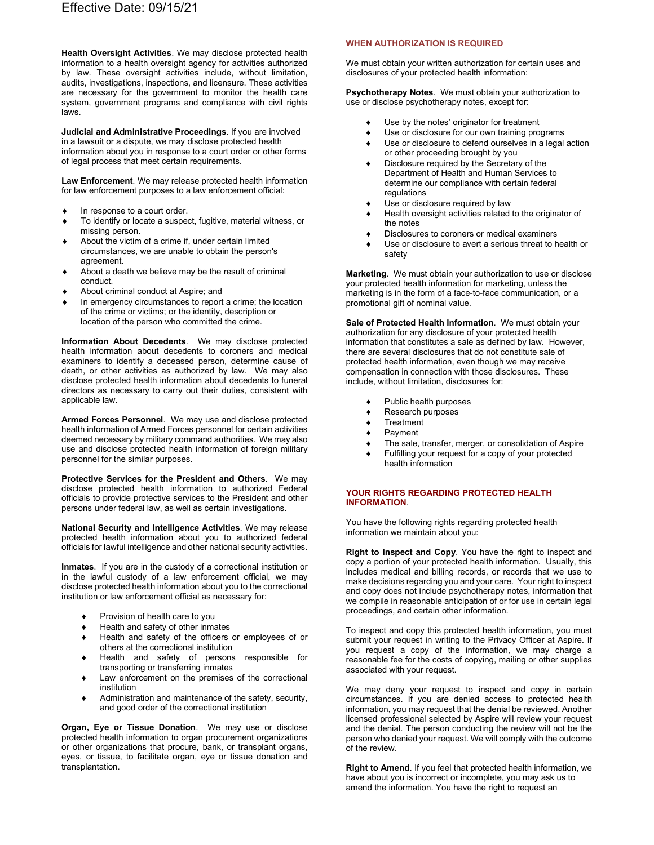**Health Oversight Activities**. We may disclose protected health information to a health oversight agency for activities authorized by law. These oversight activities include, without limitation, audits, investigations, inspections, and licensure. These activities are necessary for the government to monitor the health care system, government programs and compliance with civil rights laws.

**Judicial and Administrative Proceedings**. If you are involved in a lawsuit or a dispute, we may disclose protected health information about you in response to a court order or other forms of legal process that meet certain requirements.

**Law Enforcement**. We may release protected health information for law enforcement purposes to a law enforcement official:

- In response to a court order.
- To identify or locate a suspect, fugitive, material witness, or missing person.
- About the victim of a crime if, under certain limited circumstances, we are unable to obtain the person's agreement.
- About a death we believe may be the result of criminal conduct.
- About criminal conduct at Aspire; and
- In emergency circumstances to report a crime; the location of the crime or victims; or the identity, description or location of the person who committed the crime.

**Information About Decedents**. We may disclose protected health information about decedents to coroners and medical examiners to identify a deceased person, determine cause of death, or other activities as authorized by law. We may also disclose protected health information about decedents to funeral directors as necessary to carry out their duties, consistent with applicable law.

**Armed Forces Personnel**. We may use and disclose protected health information of Armed Forces personnel for certain activities deemed necessary by military command authorities. We may also use and disclose protected health information of foreign military personnel for the similar purposes.

**Protective Services for the President and Others**. We may disclose protected health information to authorized Federal officials to provide protective services to the President and other persons under federal law, as well as certain investigations.

**National Security and Intelligence Activities**. We may release protected health information about you to authorized federal officials for lawful intelligence and other national security activities.

**Inmates**. If you are in the custody of a correctional institution or in the lawful custody of a law enforcement official, we may disclose protected health information about you to the correctional institution or law enforcement official as necessary for:

- Provision of health care to you
- Health and safety of other inmates
- ♦ Health and safety of the officers or employees of or others at the correctional institution
- ♦ Health and safety of persons responsible for transporting or transferring inmates
- Law enforcement on the premises of the correctional institution
- ♦ Administration and maintenance of the safety, security, and good order of the correctional institution

**Organ, Eye or Tissue Donation**. We may use or disclose protected health information to organ procurement organizations or other organizations that procure, bank, or transplant organs, eyes, or tissue, to facilitate organ, eye or tissue donation and transplantation.

#### **WHEN AUTHORIZATION IS REQUIRED**

We must obtain your written authorization for certain uses and disclosures of your protected health information:

**Psychotherapy Notes**. We must obtain your authorization to use or disclose psychotherapy notes, except for:

- Use by the notes' originator for treatment
- Use or disclosure for our own training programs
- Use or disclosure to defend ourselves in a legal action or other proceeding brought by you
- Disclosure required by the Secretary of the Department of Health and Human Services to determine our compliance with certain federal regulations
- Use or disclosure required by law
- Health oversight activities related to the originator of the notes
- Disclosures to coroners or medical examiners
- Use or disclosure to avert a serious threat to health or safety

**Marketing**. We must obtain your authorization to use or disclose your protected health information for marketing, unless the marketing is in the form of a face-to-face communication, or a promotional gift of nominal value.

**Sale of Protected Health Information**. We must obtain your authorization for any disclosure of your protected health information that constitutes a sale as defined by law. However, there are several disclosures that do not constitute sale of protected health information, even though we may receive compensation in connection with those disclosures. These include, without limitation, disclosures for:

- Public health purposes
- ♦ Research purposes
- ♦ Treatment
- ♦ Payment
- ♦ The sale, transfer, merger, or consolidation of Aspire
- Fulfilling your request for a copy of your protected health information

#### **YOUR RIGHTS REGARDING PROTECTED HEALTH INFORMATION**.

You have the following rights regarding protected health information we maintain about you:

**Right to Inspect and Copy**. You have the right to inspect and copy a portion of your protected health information. Usually, this includes medical and billing records, or records that we use to make decisions regarding you and your care. Your right to inspect and copy does not include psychotherapy notes, information that we compile in reasonable anticipation of or for use in certain legal proceedings, and certain other information.

To inspect and copy this protected health information, you must submit your request in writing to the Privacy Officer at Aspire. If you request a copy of the information, we may charge a reasonable fee for the costs of copying, mailing or other supplies associated with your request.

We may deny your request to inspect and copy in certain circumstances. If you are denied access to protected health information, you may request that the denial be reviewed. Another licensed professional selected by Aspire will review your request and the denial. The person conducting the review will not be the person who denied your request. We will comply with the outcome of the review.

**Right to Amend**. If you feel that protected health information, we have about you is incorrect or incomplete, you may ask us to amend the information. You have the right to request an